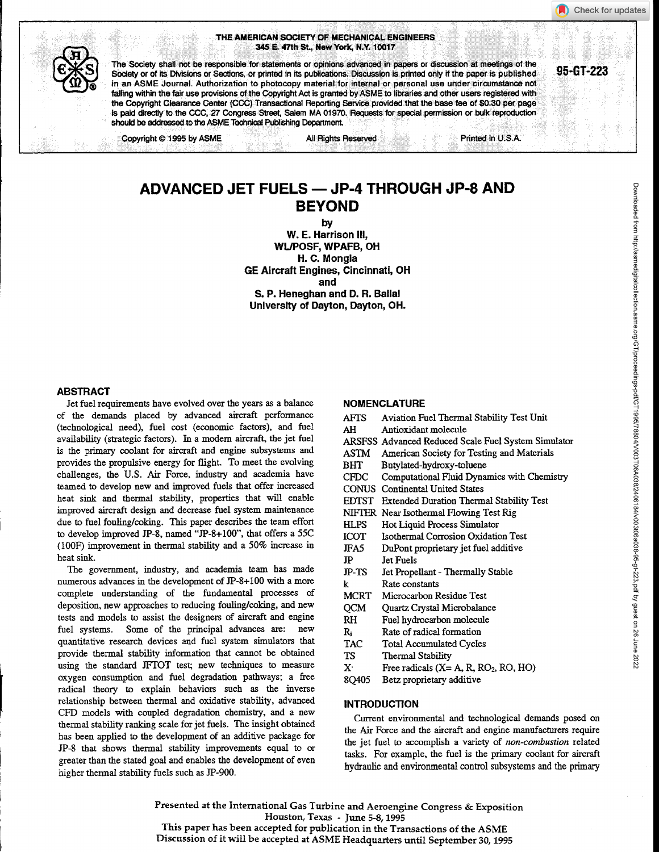#### THE AMERICAN SOCIETY OF MECHANICAL ENGINEERS 345 E. 47th St., New York, N.Y. 10017



The Society shall not be responsible for statements or opinions advanced in papers or discussion at meetings of the Society or of its Divisions or Sections, or printed in its publications. Discussion is printed only if the paper is published 95-GT-223 in an ASME Journal. Authorization to photocopy material for internal or personal use under circumstance not falling within the fair use provisions of the Copyright Act is granted by ASME to libraries and other users registered with the Copyright Clearance Center (CCC) Transactional Reporting Service provided that the base fee of \$0.30 per page is paid directly to the CCC, 27 Congress Street, Salem MA 01970. Requests for special permission or bulk reproduction should be addressed to the ASME Technical Publishing Department.

Copyright © 1995 by ASME All Rights Reserved All Rights Reserved Printed in U.S.A.

# ADVANCED JET FUELS - JP-4 THROUGH JP-8 AND BEYOND

by

W. E. Harrison III, WUPOSF, WPAFB, OH H. C. Mongia GE Aircraft Engines, Cincinnati, OH and S. P. Heneghan and D. R. Ballal University of Dayton, Dayton, OH.

#### ABSTRACT

Jet fuel requirements have evolved over the years as a balance of the demands placed by advanced aircraft performance (technological need), fuel cost (economic factors), and fuel availability (strategic factors). In a modem aircraft, the jet fuel is the primary coolant for aircraft and engine subsystems and provides the propulsive energy for flight. To meet the evolving challenges, the U.S. Air Force, industry and academia have teamed to develop new and improved fuels that offer increased heat sink and thermal stability, properties that will enable improved aircraft design and decrease fuel system maintenance due to fuel fouling/coking. This paper describes the team effort to develop improved JP-8, named "JP-8+100", that offers a 55C (100F) improvement in thermal stability and a 50% increase in heat sink.

The government, industry, and academia team has made numerous advances in the development of JP-8+100 with a more complete understanding of the fundamental processes of deposition, new approaches to reducing fouling/coking, and new tests and models to assist the designers of aircraft and engine fuel systems. Some of the principal advances are: new quantitative research devices and fuel system simulators that provide thermal stability information that cannot be obtained using the standard JFTOT test; new techniques to measure oxygen consumption and fuel degradation pathways; a free radical theory to explain behaviors such as the inverse relationship between thermal and oxidative stability, advanced CFD models with coupled degradation chemistry, and a new thermal stability ranking scale for jet fuels. The insight obtained has been applied to the development of an additive package for JP-8 that shows thermal stability improvements equal to or greater than the stated goal and enables the development of even higher thermal stability fuels such as JP-900.

#### NOMENCLATURE

| <b>AFTS</b>               | Aviation Fuel Thermal Stability Test Unit           |
|---------------------------|-----------------------------------------------------|
| AH                        | Antioxidant molecule                                |
|                           | ARSFSS Advanced Reduced Scale Fuel System Simulator |
| ASTM                      | American Society for Testing and Materials          |
| <b>BHT</b>                | Butylated-hydroxy-toluene                           |
| CFDC                      | Computational Fluid Dynamics with Chemistry         |
| <b>CONUS</b>              | <b>Continental United States</b>                    |
| EDTST                     | <b>Extended Duration Thermal Stability Test</b>     |
|                           | NIFTER Near Isothermal Flowing Test Rig             |
| HL PS                     | Hot Liquid Process Simulator                        |
| ICOT                      | Isothermal Corrosion Oxidation Test                 |
| JFA5                      | DuPont proprietary jet fuel additive                |
| JP                        | <b>Let Fuels</b>                                    |
| $_{\rm IP-TS}$            | Jet Propellant - Thermally Stable                   |
| k                         | Rate constants                                      |
| MCRT                      | Microcarbon Residue Test                            |
| OCM                       | Quartz Crystal Microbalance                         |
| RH                        | Fuel hydrocarbon molecule                           |
| R.                        | Rate of radical formation                           |
| <b>TAC</b>                | Total Accumulated Cycles                            |
| TS.                       | Thermal Stability                                   |
| $\mathbf{X}^{\mathbf{.}}$ | Free radicals $(X = A, R, RO2, RO, HO)$             |
| 8Q405                     | Betz proprietary additive                           |
|                           |                                                     |

## INTRODUCTION

Current environmental and technological demands posed on the Air Force and the aircraft and engine manufacturers require the jet fuel to accomplish a variety of *non-combustion* related tasks. For example, the fuel is the primary coolant for aircraft hydraulic and environmental control subsystems and the primary

Presented at the International Gas Turbine and Aeroengine Congress & Exposition Houston, Texas - June 5-8, 1995 This paper has been accepted for publication in the Transactions of the ASME Discussion of it will be accepted at ASME Headquarters until September 30, 1995

Check for updates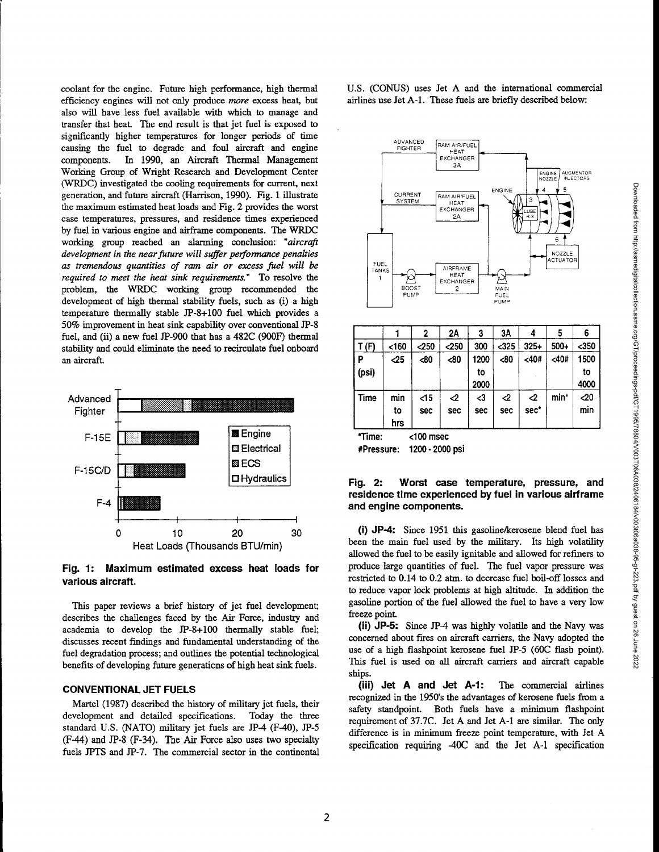Downloaded from http://asmedigitalcollection.asme.org/GTFproceedings-pdf/GT1995/78024/V0031T06A038/200303040761223.pdf by guest on 26 June 2022 Downloaded from http://asmedigitalcollection.asme.org/GT/proceedings-pdf/GT1995/78804/V003T06A038/2406184/v003t06a038-95-gt-223.pdf by guest on 26 June 2022

coolant for the engine. Future high performance, high thermal efficiency engines will not only produce *more* excess beat, but also will have less fuel available with which to manage and transfer that heat. The end result is that jet fuel is exposed to significantly higher temperatures for longer periods of time causing the fuel to degrade and foul aircraft and engine components. In 1990, an Aircraft Thermal Management Working Group of Wright Research and Development Center (WRDC) investigated the cooling requirements for current, next generation, and future aircraft (Harrison, 1990). Fig. 1 illustrate the maximum estimated heat loads and Fig. 2 provides the worst case temperatures, pressures, and residence times experienced by fuel in various engine and airframe components. The WRDC working group reached *an* alarming conclusion: *"aircraft development in the near future will suffer performance penalties as tremendous quantities of ram air or excess fuel will be required to meet the heat sink requirements." To* resolve the problem, the WRDC working group recommended the development of high thermal stability fuels, such as (i) a high temperature thermally stable JP-8+100 fuel which provides a 50% improvement in heat sink capability over conventional JP-8 fuel, and (ii) a new fuel JP-900 that has a 482C (900F) thermal stability and could eliminate the need to recirculate fuel onboard an aircraft. Significantly higher temperatures for longer periods of time<br>
causing the fuel to degrade and foul aircraft and engine<br>
Components. In 1990, an Aircraft Thermal Management<br>
Working Group of Wright Research and Development EXCHANGER THE MEATER CONTROLL AND THE MAIN CONTROLL AND THE MAIN CONTROLL AND THE MAIN CONTROLL AND THE MAIN CONTROLL AND THE MAIN CONTROLL AND THE MAIN CONTROLL AND THE MAIN CONTROLL AND THE MAIN CONTROLL AND THE MAIN CO



**Fig. 1: Maximum estimated excess heat loads for various aircraft.**

This paper reviews a brief history of jet fuel development; describes the challenges faced by the Air Force, industry and academia to develop the JP-8+100 thermally stable fuel; discusses recent findings and fundamental understanding of the fuel degradation process; and outlines the potential technological benefits of developing future generations of high heat sink fuels.

#### **CONVENTIONAL JET FUELS**

Martel (1987) described the history of military jet fuels, their development and detailed specifications. Today the three standard U.S. (NATO) military jet fuels are JP-4 (F-40), JP-5 (F-44) and JP-8 (F-34). The Air Force also uses two specialty fuels JPTS and JP-7. The commercial sector in the continental U.S. (CONUS) uses Jet A and the international commercial airlines use Jet A-1. These fuels are briefly described below:



|             |                  | 2                    | 2A         | 3                  | ЗΑ       |           | 5      | 6                  |
|-------------|------------------|----------------------|------------|--------------------|----------|-----------|--------|--------------------|
| T (F)       | $160$            | $-250$               | $\sim$ 250 | 300                | $325$    | $325+$    | $500+$ | $350$              |
| р<br>(psi)  | -25              | <80                  | <80        | 1200<br>to<br>2000 | <80      | $40#$     | $40#$  | 1500<br>to<br>4000 |
| <b>Time</b> | min<br>to<br>hrs | $<$ 15<br><b>Sec</b> | ⊲<br>sec   | $<$ 3<br>sec       | ⊲<br>sec | ⊲<br>sec* | min*   | -20<br>min         |

\*Time: <100 msec

#Pressure: **1200-2000 psi**

#### **Fig. 2: Worst case temperature, pressure, and residence time experienced by fuel in various airframe and engine components.**

(1) JP-4: Since 1951 this gasoline/kerosene blend fuel has been the main fuel used by the military. Its high volatility allowed the fuel to be easily ignitable and allowed for refiners to produce large quantities of fuel. The fuel vapor pressure was restricted to 0.14 to 0.2 atm. to decrease fuel boil-off losses and to reduce vapor lock problems at high altitude. In addition the gasoline portion of the fuel allowed the fuel to have a very low freeze point.

**(ii) JP-5:** Since JP-4 was highly volatile and the Navy was concerned about fires on aircraft carriers, the Navy adopted the use of a high flashpoint kerosene fuel JP-5 (60C flash point). This fuel is used on all aircraft carriers and aircraft capable ships.

**(ill) Jet A and Jet A-1:** The commercial airlines recognized in the 1950's the advantages of kerosene fuels from a safety standpoint. Both fuels have a minimum flashpoint requirement of 37.7C. Jet A and Jet A-1 are similar. The only difference is in minimum freeze point temperature, with Jet A specification requiring -40C and the Jet A-1 specification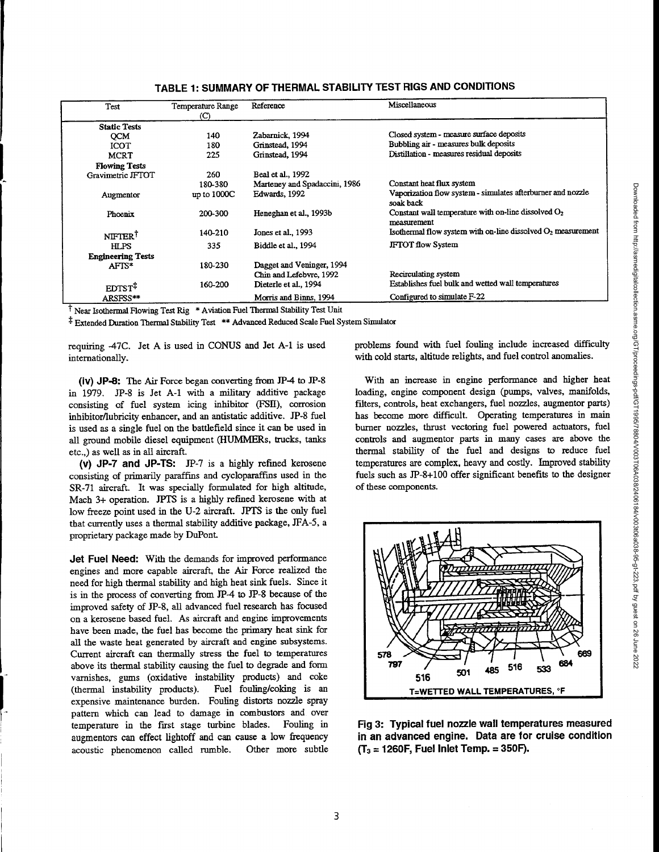| Test                      | Temperature Range<br>(C) | Reference                     | Miscellaneous                                                            |
|---------------------------|--------------------------|-------------------------------|--------------------------------------------------------------------------|
| <b>Static Tests</b>       |                          |                               |                                                                          |
| <b>OCM</b>                | 140                      | Zabarnick, 1994               | Closed system - measure surface deposits                                 |
| <b>ICOT</b>               | 180                      | Grinstead, 1994               | Bubbling air - measures bulk deposits                                    |
| <b>MCRT</b>               | 225                      | Grinstead, 1994               | Distillation - measures residual deposits                                |
| <b>Flowing Tests</b>      |                          |                               |                                                                          |
| Gravimetric JFTOT         | 260                      | Beal et al., 1992             |                                                                          |
|                           | 180-380                  | Marteney and Spadaccini, 1986 | Constant heat flux system                                                |
| Augmentor                 | up to $1000C$            | Edwards, 1992                 | Vaporization flow system - simulates afterburner and nozzle<br>soak back |
| Phoenix                   | 200-300                  | Heneghan et al., 1993b        | Constant wall temperature with on-line dissolved $O2$<br>measurement     |
| <b>NIFTERT</b>            | 140-210                  | Jones et al., 1993            | Isothermal flow system with on-line dissolved $O2$ measurement           |
| <b>HLPS</b>               | 335                      | Biddle et al., 1994           | <b>IFTOT flow System</b>                                                 |
| <b>Engineering Tests</b>  |                          |                               |                                                                          |
| AFTS*                     | 180-230                  | Dagget and Veninger, 1994     |                                                                          |
|                           |                          | Chin and Lefebvre, 1992       | Recirculating system                                                     |
| <b>EDTST</b> <sup>T</sup> | 160-200                  | Dieterle et al., 1994         | Establishes fuel bulk and wetted wall temperatures                       |
| ARSFSS**                  |                          | Morris and Binns, 1994        | Configured to simulate $F-22$                                            |

**TABLE 1: SUMMARY OF THERMAL STABILITY TEST RIGS AND CONDITIONS**

<sup>†</sup> Near Isothermal Flowing Test Rig \* Aviation Fuel Thermal Stability Test Unit

Extended Duration Thermal Stability Test \*\*Advanced Reduced Scale Fuel System Simulator

requiring -47C. Jet A is used in CONUS and Jet A-1 is used internationally.

**(iv) JP-8:** The Air Force began converting from JP-4 to JP-8 in 1979. JP-8 is Jet A-1 with a military additive package consisting of fuel system icing inhibitor (FSII), corrosion inhibitor/lubricity enhancer, and an antistatic additive. JP-8 fuel is used as a single fuel on the battlefield since it can be used in all ground mobile diesel equipment (HUMMERs, trucks, tanks etc.,) as well as in all aircraft.

**(v) JP**-7 **and JP-TS:** JP-7 is a highly refined kerosene consisting of primarily paraffins and cycloparaffins used in the SR-71 aircraft. It was specially formulated for high altitude, Mach 3+ operation. JPTS is a highly refined kerosene with at low freeze point used in the U-2 aircraft. JPTS is the only fuel that currently uses a thermal stability additive package, JFA-5, a proprietary package made by DuPont.

**Jet Fuel Need:** With the demands for improved performance engines and more capable aircraft, the Air Force realized the need for high thermal stability and high heat sink fuels. Since it is in the process of converting from JP-4 to JP-8 because of the improved safety of JP-8, all advanced fuel research has focused on a kerosene based fuel. As aircraft and engine improvements have been made, the fuel has become the primary heat sink for all the waste heat generated by aircraft and engine subsystems. Current aircraft can thermally stress the fuel to temperatures above its thermal stability causing the fuel to degrade and form varnishes, gums (oxidative instability products) and coke (thermal instability products). Fuel fouling/coking is an expensive maintenance burden. Fouling distorts nozzle spray pattern which can lead to damage in combustors and over temperature in the first stage turbine blades. Fouling in augmentors can effect lightoff and can cause a low frequency acoustic phenomenon called ramble. Other more subtle problems found with fuel fouling include increased difficulty with cold starts, altitude relights, and fuel control anomalies.

With an increase in engine performance and higher heat loading, engine component design (pumps, valves, manifolds, filters, controls, heat exchangers, fuel nozzles, augmentor parts) has become more difficult. Operating temperatures in main burner nozzles, thrust vectoring fuel powered actuators, fuel controls and augmentor parts in many cases are above the thermal stability of the fuel and designs to reduce fuel temperatures are complex, heavy and costly. Improved stability fuels such as JP-8+100 offer significant benefits to the designer of these components.



**Fig 3: Typical fuel nozzle wall temperatures measured** *in* an advanced engine. Data are for cruise condition **(T3** = **1260F, Fuel Inlet Temp.** = **350F).**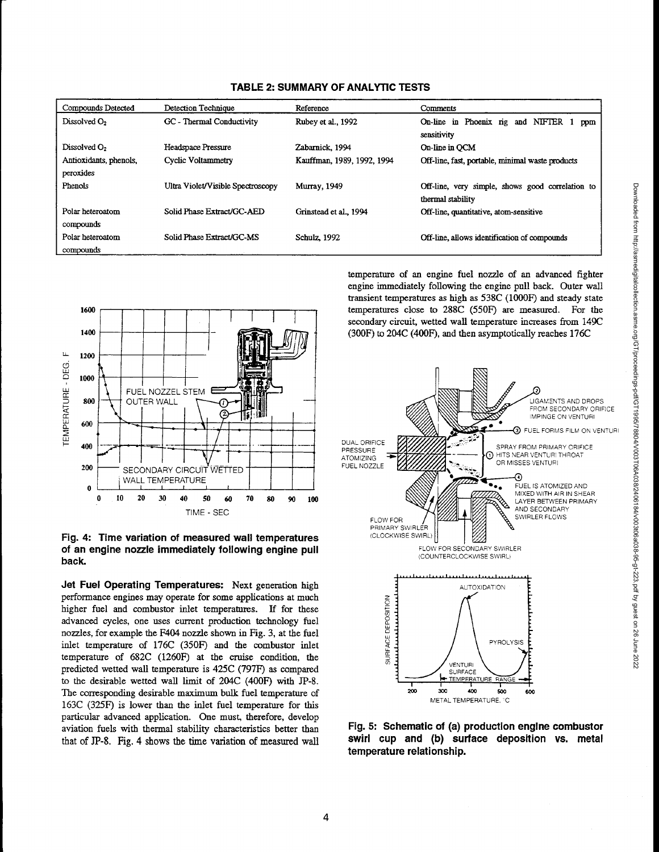| Compounds Detected                  | Detection Technique               | Reference                  | Comments                                                                    |
|-------------------------------------|-----------------------------------|----------------------------|-----------------------------------------------------------------------------|
| Dissolved O <sub>2</sub>            | GC - Thermal Conductivity         | Rubey et al., 1992         | Phoenix rig<br><b>NIFTER</b><br>On-line<br>in.<br>and<br>ppm<br>sensitivity |
| Dissolved O <sub>2</sub>            | Headspace Pressure                | Zabarnick, 1994            | On-line in OCM                                                              |
| Antioxidants, phenols,<br>peroxides | Cyclic Voltammetry                | Kauffman, 1989, 1992, 1994 | Off-line, fast, portable, minimal waste products                            |
| Phenols                             | Ultra Violet/Visible Spectroscopy | <b>Murray</b> , 1949       | Off-line, very simple, shows good correlation to<br>thermal stability       |
| Polar heteroatom<br>compounds       | Solid Phase Extract/GC-AED        | Grinstead et al., 1994     | Off-line, quantitative, atom-sensitive                                      |
| Polar heteroatom<br>compounds       | Solid Phase Extract/GC-MS         | Schulz, 1992               | Off-line, allows identification of compounds                                |





Fig. 4: Time variation of measured wall temperatures of an engine nozzle immediately following engine pull back.

Jet Fuel Operating Temperatures: Next generation high performance engines may operate for some applications at much higher fuel and combustor inlet temperatures. If for these advanced cycles, one uses current production technology fuel nozzles, for example the F404 nozzle shown in Fig. 3, at the fuel inlet temperature of 176C (350F) and the combustor inlet temperature of 682C (1260F) at the cruise condition, the predicted wetted wall temperature is 425C (797F) as compared to the desirable wetted wall limit of 204C (400F) with JP-8. The corresponding desirable maximum bulk fuel temperature of 163C (325F) is lower than the inlet fuel temperature for this particular advanced application. One must, therefore, develop aviation fuels with thermal stability characteristics better than that of JP-8. Fig. 4 shows the time variation of measured wall

temperature of an engine fuel nozzle of an advanced fighter engine immediately following the engine pull back. Outer wall transient temperatures as high as 538C (1000F) and steady state  $1600$  temperatures close to 288C (550F) are measured. For the secondary circuit, wetted wall temperature increases from 149C



Fig. 5: Schematic of (a) production engine combustor swirl cup and (b) surface deposition vs. metal temperature relationship.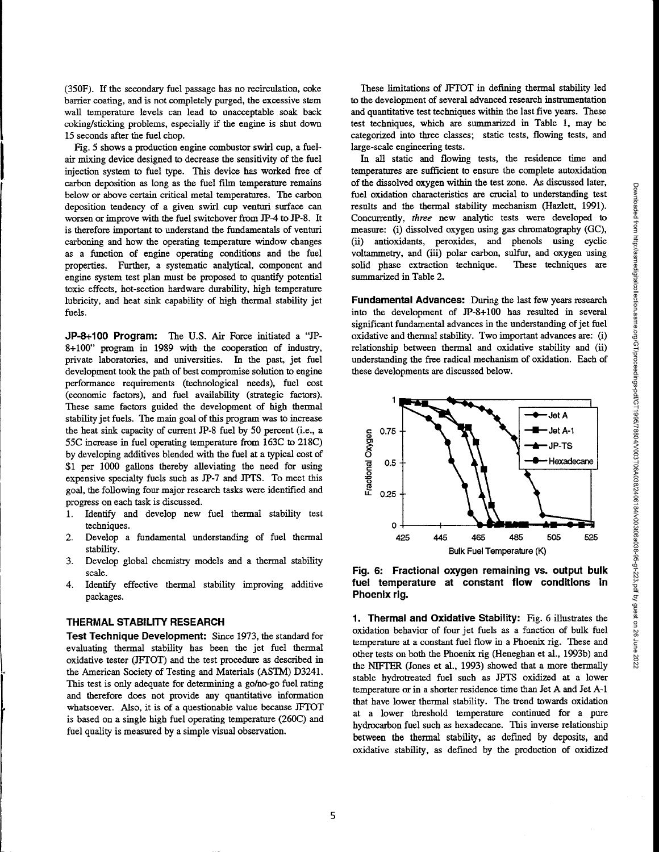(350F). If the secondary fuel passage has no recirculation, coke barrier coating, and is not completely purged, the excessive stem wall temperature levels can lead to unacceptable soak back coking/sticking problems, especially if the engine is shut down 15 seconds after the fuel chop.

Fig. 5 shows a production engine combustor swirl cup, a fuelair mixing device designed to decrease the sensitivity of the fuel injection system to fuel type. This device has worked free of carbon deposition as long as the fuel film temperature remains below or above certain critical metal temperatures. The carbon deposition tendency of a given swirl cup venturi surface can worsen or improve with the fuel switchover from JP-4 to JP-8. It is therefore important to understand the fundamentals of venturi carboning and how the operating temperature window changes as a function of engine operating conditions and the fuel properties. Further, a systematic analytical, component and engine system test plan must be proposed to quantify potential toxic effects, hot-section hardware durability, high temperature lubricity, and heat sink capability of high thermal stability jet fuels.

**JP-8+100 Program:** The U.S. Air Force initiated a "JP-8+100" program in 1989 with the cooperation of industry, private laboratories, and universities. In the past, jet fuel development took the path of best compromise solution to engine performance requirements (technological needs), fuel cost (economic factors), and fuel availability (strategic factors). These same factors guided the development of high thermal stability jet fuels. The main goal of this program was to increase the heat sink capacity of current JP-8 fuel *by 50* percent (i.e., a 55C increase in fuel operating temperature from 163C to 218C) by developing additives blended with the fuel at a typical cost of \$1 per 1000 gallons thereby alleviating the need for using expensive specialty fuels such as JP-7 and JPTS. To meet this goal, the following four major research tasks were identified and progress on each task is discussed.

- 1. Identify and develop new fuel thermal stability test techniques.
- 2. Develop a fundamental understanding of fuel thermal stability.
- 3. Develop global chemistry models and a thermal stability scale.
- 4. Identify effective thermal stability improving additive packages.

#### **THERMAL STABILITY RESEARCH**

**Test Technique Development:** Since 1973, the standard for evaluating thermal stability has been the jet fuel thermal oxidative tester (JFTOT) and the test procedure as described in the American Society of Testing and Materials (ASTM) D3241. This test is only adequate for determining a go/no-go fuel rating and therefore does not provide any quantitative information whatsoever. Also, it is of a questionable value because JFTOT is based on a single high fuel operating temperature (260C) and fuel quality is measured by a simple visual observation.

These limitations of JFTOT in defining thermal stability led to the development of several advanced research instrumentation and quantitative test techniques within the last five years. These test techniques, which are summarized in Table 1, may be categorized into three classes; static tests, flowing tests, and large-scale engineering tests.

In all static and flowing tests, the residence time and temperatures are sufficient to ensure the complete autoxidation of the dissolved oxygen within the test zone. As discussed later, fuel oxidation characteristics are crucial to understanding test results and the thermal stability mechanism (Hazlett, 1991). Concurrently, *three* new analytic tests were developed to measure: (i) dissolved oxygen using gas chromatography (GC), (ii) antioxidants, peroxides, and phenols using cyclic voltammetry, and (iii) polar carbon, sulfur, and oxygen using solid phase extraction technique. These techniques are summarized in Table 2.

**Fundamental Advances:** During the last few years research into the development of JP-8+100 has resulted in several significant fundamental advances in the understanding of jet fuel oxidative and thermal stability. Two important advances are: (i) relationship between thermal and oxidative stability and (ii) understanding the free radical mechanism of oxidation. Each of these developments are discussed below.





**1. Thermal and Oxidative Stability:** Fig. 6 illustrates the oxidation behavior of four jet fuels as a function of bulk fuel temperature at a constant fuel flow in a Phoenix rig. These and other tests on both the Phoenix rig (Ileneghan et al., 1993b) and the NIFTER (Jones et al., 1993) showed that a more thermally stable hydrotreated fuel such as JPTS oxidized at a lower temperature or in a shorter residence time than Jet A and Jet A-1 that have lower thermal stability. The trend towards oxidation at a lower threshold temperature continued for a pure hydrocarbon fuel such as hexadecane. This inverse relationship between the thermal stability, as defined by deposits, and oxidative stability, as defined by the production of oxidized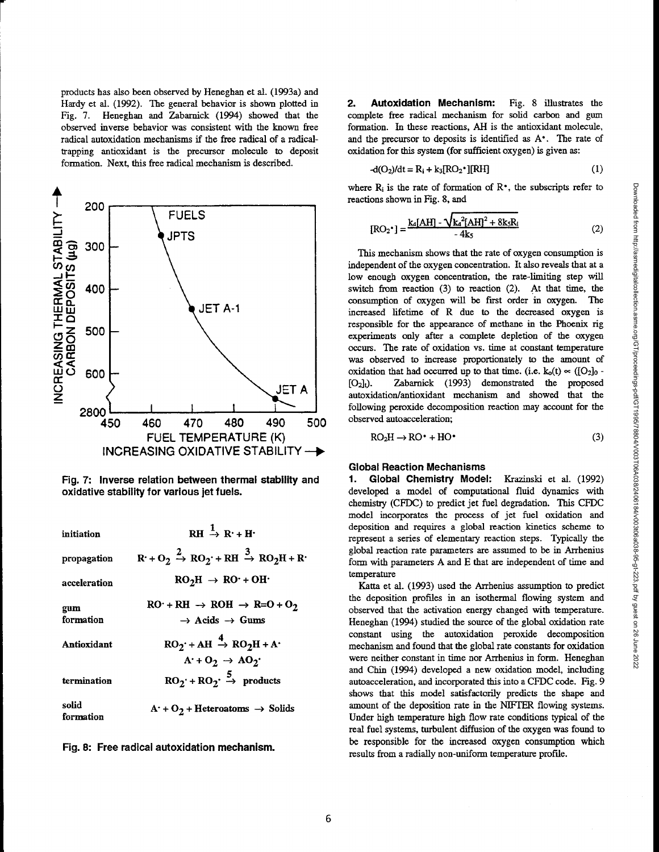products has also been observed by Heneghan et al. (1993a) and Hardy et al. (1992). The general behavior is shown plotted in Fig. 7. Heneghan and Zabarnick (1994) showed that the observed inverse behavior was consistent with the known free radical autoxidation mechanisms if the free radical of a radicaltrapping antioxidant is the precursor molecule to deposit formation. Next, this free radical mechanism is described.



**Fig. 7: Inverse relation between thermal stability and oxidative stability for various jet fuels.**

| initiation         | $RH \rightarrow R^+ + H^-$                                                                 |
|--------------------|--------------------------------------------------------------------------------------------|
| propagation        | $R + O_2 \stackrel{2}{\rightarrow} RO_2 + RH \stackrel{3}{\rightarrow} RO_2H + R$          |
| acceleration       | $RO_2H \rightarrow RO \cdot + OH \cdot$                                                    |
| gum<br>formation   | $RO: + RH \rightarrow ROH \rightarrow R=O + O_2$<br>$\rightarrow$ Acids $\rightarrow$ Gums |
| Antioxidant        | $RO_2$ + AH $\stackrel{4}{\rightarrow} RO_2H + A$<br>$A' + O_2 \rightarrow AO_2'$          |
| termination        | $RO_2$ + $RO_2$ $\rightarrow$ products                                                     |
| solid<br>formation | $A^+ + O_2$ + Heteroatoms $\rightarrow$ Solids                                             |

**Fig. 8: Free radical autoxidation mechanism.**

**2. Autoxidation Mechanism:** Fig. 8 illustrates the complete free radical mechanism for solid carbon and gum formation. In these reactions, AH is the antioxidant molecule, and the precursor to deposits is identified as A<sup>\*</sup>. The rate of oxidation for this system (for sufficient oxygen) is given as:

$$
-d(O_2)/dt = R_i + k_3[RO_2^*][RH]
$$
 (1)

where  $R_i$  is the rate of formation of  $R^*$ , the subscripts refer to reactions shown in Fig. 8, and

$$
[RO_2^*] = \frac{k_4[AH] - \sqrt{k_4^2[AH]^2 + 8k_5R_1}}{4k_5}
$$
 (2)

This mechanism shows that the rate of oxygen consumption is independent of the oxygen concentration. It also reveals that at a low enough oxygen concentration, the rate-limiting step will switch from reaction (3) to reaction (2). At that time, the consumption of oxygen will be first order in oxygen. The increased lifetime of R due to the decreased oxygen is responsible for the appearance of methane in the Phoenix rig experiments only after a complete depletion of the oxygen occurs. The rate of oxidation vs. time at constant temperature was observed to increase proportionately to the amount of oxidation that had occurred up to that time. (i.e.  $k_0(t) \propto ([O_2]_0 -$ [O2]t). Zabarnick (1993) demonstrated the proposed autoxidation/antioxidant mechanism and showed that the following peroxide decomposition reaction may account for the observed autoacceleration;

$$
RO2H \rightarrow RO+ + HO*
$$
 (3)

### **Global Reaction Mechanisms**

**1. Global Chemistry Model:** Krazinski et al. (1992) developed a model of computational fluid dynamics with chemistry (CFDC) to predict jet fuel degradation. This CFDC model incorporates the process of jet fuel oxidation and deposition and requires a global reaction kinetics scheme to represent a series of elementary reaction steps. Typically the global reaction rate parameters are assumed to be in Arrhenius form with parameters A and E that are independent of time and temperature

Katta et al. (1993) used the Arrhenius assumption to predict the deposition profiles in an isothermal flowing system and observed that the activation energy changed with temperature. Heneghan (1994) studied the source of the global oxidation rate constant using the autoxidation peroxide decomposition mechanism and found that the global rate constants for oxidation were neither constant in time nor Arrhenius in form. Heneghan and Chin (1994) developed a new oxidation model, including autoacceleration, and incorporated this into a CFDC code. Fig. 9 shows that this model satisfactorily predicts the shape and amount of the deposition rate in the METER flowing systems. Under high temperature high flow rate conditions typical of the real fuel systems, turbulent diffusion of the oxygen was found to be responsible for the increased oxygen consumption which results from a radially non-uniform temperature profile.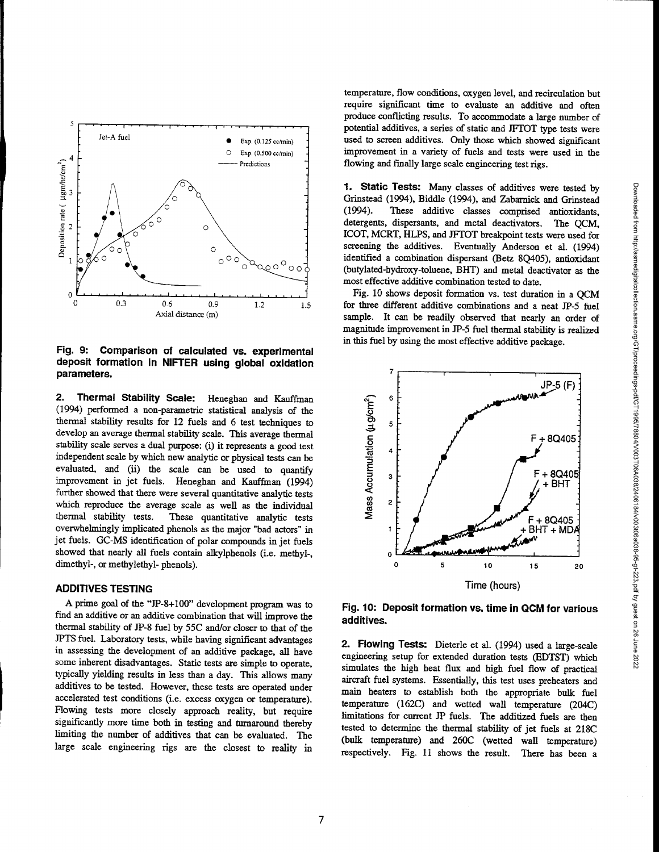

**deposit formation in NIFTER using global oxidation parameters.**

**2. Thermal Stability Scale:** Heneghan and Kauffman (1994) performed a non-parametric statistical analysis of the thermal stability results for 12 fuels and 6 test techniques to develop an average thermal stability scale. This average thermal stability scale serves a dual purpose: (i) it represents a good test independent scale by which new analytic or physical tests can be evaluated, and (ii) the scale can be used to quantify improvement in jet fuels. Heneghan and Kauffman (1994) further showed that there were several quantitative analytic tests which reproduce the average scale as well as the individual thermal stability tests. These quantitative analytic tests overwhelmingly implicated phenols as the major "bad actors" in jet fuels. GC-MS identification of polar compounds in jet fuels showed that nearly all fuels contain alkylphenols (i.e. methyl-, dimethyl-, or methylethyl- phenols). Fig<br>
de pai<br>
pai<br>
2.<br>
2.<br>
(19<br>
therefor the deviation of the deviation of the deviation of the deviation of the deviation of the deviation of the deviation of the deviation of the deviation of the deviation of the deviatio Parameters.<br>
2. Thermal Stability Scale: Heneghan and Kauffman<br>
(1994) performed a non-parametric statistical analysis of the<br>
thermal stability results for 12 fuels and 6 test techniques to<br>
develop an average thermal st

## **ADDITIVES TESTING**

•

 $\pmb{0}$ 

 $\sim 4$ 

00 3

ច<br>គ 2 Ξ. n

 $\blacktriangleright$ 

A prime goal of the "JP-8+100" development program was to find an additive or an additive combination that will improve the thermal stability of JP-8 fuel by 55C and/or closer to that of the JPTS fuel. Laboratory tests, while having significant advantages in assessing the development of an additive package, all have some inherent disadvantages. Static tests are simple to operate, typically yielding results in less than a day. This allows many additives to be tested. However, these tests are operated under accelerated test conditions (i.e. excess oxygen or temperature). Flowing tests more closely approach reality, but require significantly more time both in testing and turnaround thereby limiting the number of additives that can be evaluated. The large scale engineering rigs are the closest to reality in temperature, flow conditions, oxygen level, and recirculation but require significant time to evaluate an additive and often produce conflicting results. To accommodate a large number of potential additives, a series of static and JFTOT type tests were used to screen additives. Only those which showed significant improvement in a variety of fuels and tests were used in the flowing and finally large scale engineering test rigs.

**1. Static Tests:** Many classes of additives were tested by Grinstead (1994), Biddle (1994), and Zabarnick and Grinstead (1994). These additive classes comprised antioxidants, detergents, dispersants, and metal deactivators. The QCM, ICOT, MCRT, HLPS, and JFFOT breakpoint tests were used for screening the additives. Eventually Anderson et al. (1994) identified a combination dispersant (Betz 8Q405), antioxidant (butylated-hydroxy-toluene, BHT) and metal deactivator as the most effective additive combination tested to date.

Fig. 10 shows deposit formation vs. test duration in a QCM for three different additive combinations and a neat JP-5 fuel sample. It can be readily observed that nearly an order of magnitude improvement in JP-5 fuel thermal stability is realized in this fuel by using the most effective additive package.



**Fig. 10: Deposit formation vs. time in QCM for various additives.**

**2. Flowing Tests:** Dieterle et al. (1994) used a large-scale engineering setup for extended duration tests (EDTST) which simulates the high heat flux and high fuel flow of practical aircraft fuel systems. Essentially, this test uses preheaters and main heaters to establish both the appropriate bulk fuel temperature (162C) and wetted wall temperature (204C) limitations for current JP fuels. The additized fuels are then tested to determine the thermal stability of jet fuels at 218C (bulk temperature) and 260C (wetted wall temperature) respectively. Fig. 11 shows the result. There has been a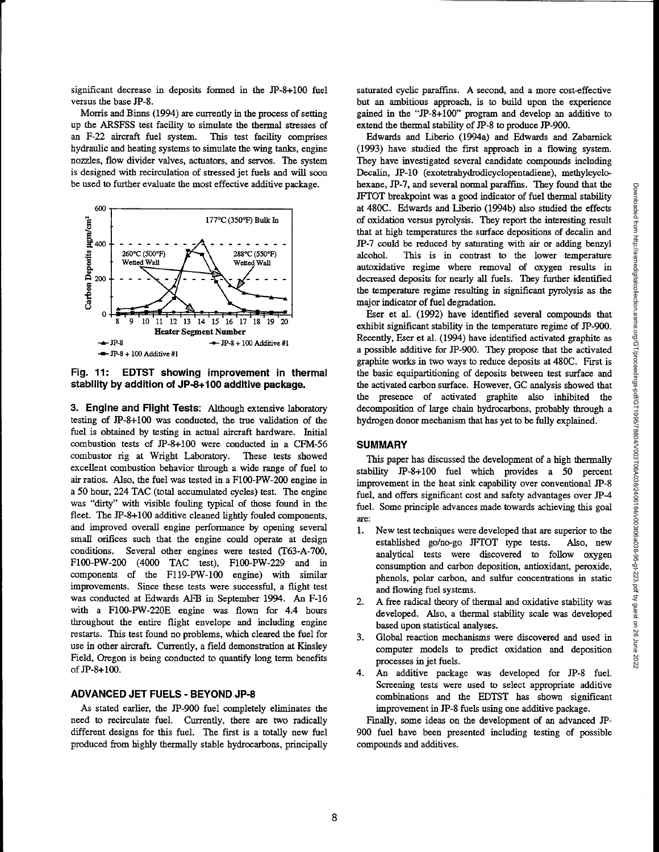significant decrease in deposits formed in the JP-8+100 fuel versus the base JP-8.

Morris and Binns (1994) are currently in the process of setting up the ARSFSS test facility to simulate the thermal stresses of an F-22 aircraft fuel system. This test facility comprises hydraulic and beating systems to simulate the wing tanks, engine nozzles, flow divider valves, actuators, and servos. The system is designed with recirculation of stressed jet fuels and will soon be used to further evaluate the most effective additive package.



**Fig. 11: EDTST showing improvement in thermal stability by addition of JP-8+100 additive package.**

**3. Engine and Flight Tests:** Although extensive laboratory testing of JP-8+100 was conducted, the true validation of the fuel is obtained by testing in actual aircraft hardware. Initial combustion tests of JP-8+100 were conducted in a CFM-56 combustor rig at Wright Laboratory. These tests showed excellent combustion behavior through a wide range of fuel to air ratios. Also, the fuel was tested in a F100-PW-200 engine in a 50 hour, 224 TAC (total accumulated cycles) test. The engine was "dirty" with visible fouling typical of those found in the fleet. The JP-8+100 additive cleaned lightly fouled components, and improved overall engine performance by opening several small orifices such that the engine could operate at design conditions. Several other engines were tested (T63-A-700, F100-PW-200 (4000 TAC test), F100-PW-229 and in components of the F119-PW-100 engine) with similar improvements. Since these tests were successful, a flight test was conducted at Edwards AFB in September 1994. An F-16 with a F100-PW-220E engine was flown for 4.4 hours throughout the entire flight envelope and including engine restarts. This test found no problems, which cleared the fuel for use in other aircraft. Currently, a field demonstration at Kinsley Field, Oregon is being conducted to quantify long term benefits of JP-8+100.

### **ADVANCED JET FUELS - BEYOND JP-8**

As stated earlier, the JP-900 fuel completely eliminates the need to recirculate fuel. Currently, there are two radically different designs for this fuel. The first is a totally new fuel produced from highly thermally stable hydrocarbons, principally saturated *cyclic* paraffins. A second, and a more cost-effective but an ambitious approach, is to build upon the experience gained in the "JP-8+100" program and develop an additive to extend the thermal stability of JP-8 to produce JP-900.

Edwards and Liberio (1994a) and Edwards and Zabarnick (1993) have studied the first approach in a flowing system. They have investigated several candidate compounds including Decalin, JP-10 (exotetrahydrodicyclopentadiene), methylcyclohexane, JP-7, and several normal paraffins. They found that the JFTOT breakpoint was a good indicator of fuel thermal stability at 480C. Edwards and Liberio (1994b) also studied the effects of oxidation versus pyrolysis. They report the interesting result that at high temperatures the surface depositions of decalin and JP-7 could be reduced by saturating with air or adding benzyl alcohol. This is in contrast to the lower temperature autoxidative regime where removal of oxygen results in decreased deposits for nearly all fuels. They further identified the temperature regime resulting in significant pyrolysis as the major indicator of fuel degradation.

Eser et al. (1992) have identified several compounds that exhibit significant stability in the temperature regime of JP-900. Recently, Eser et al. (1994) have identified activated graphite as a possible additive for JP-900. They propose that the activated graphite works in two ways to reduce deposits at 480C. First is the basic equipartitioning of deposits between test surface and the activated carbon surface. However, GC analysis showed that the presence of activated graphite also inhibited the decomposition of large chain hydrocarbons, probably through a hydrogen donor mechanism that has yet to be fully explained.

## **SUMMARY**

This paper has discussed the development of a high thermally stability JP-8+100 fuel which provides a 50 percent improvement in the heat sink capability over conventional JP-8 fuel, and offers significant cost and safety advantages over JP-4 fuel. Some principle advances made towards achieving this goal are:

- 1. New test techniques were developed that are superior to the established go/no-go JFTOT type tests. Also, new analytical tests were discovered to follow oxygen consumption and carbon deposition, antioxidant, peroxide, phenols, polar carbon, and sulfur concentrations in static and flowing fuel systems.
- 2. A free radical theory of thermal and oxidative stability was developed. Also, a thermal stability scale was developed based upon statistical analyses.
- 3. Global reaction mechanisms were discovered and used in computer models to predict oxidation and deposition processes in jet fuels.
- 4. An additive package was developed for JP-8 fuel. Screening tests were used to select appropriate additive combinations and the EDTST has shown significant improvement in JP-8 fuels using one additive package.

Finally, some ideas on the development of an advanced JP-900 fuel have been presented including testing of possible compounds and additives.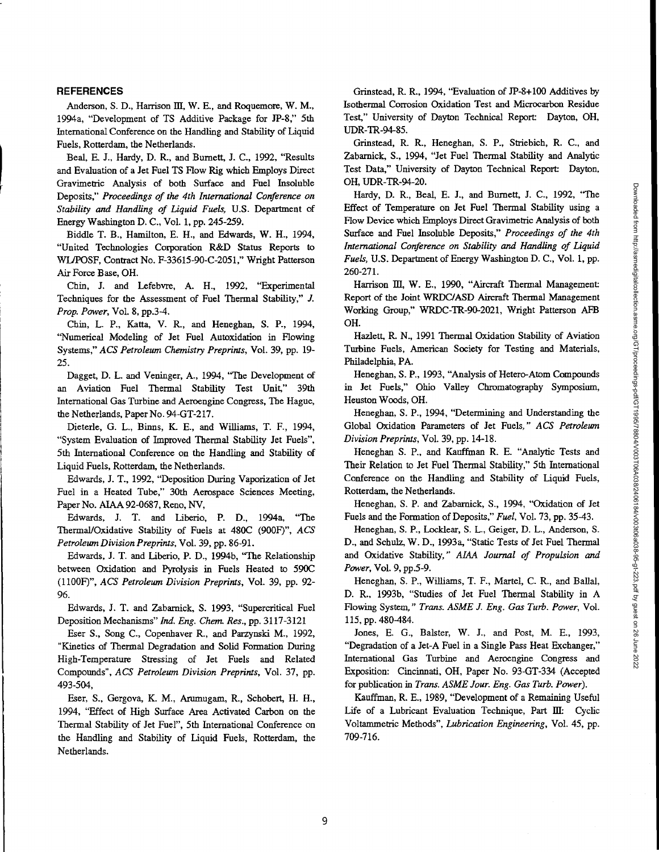#### **REFERENCES**

Anderson, S. D., Harrison III, W. E., and Roquemore, W. M., 1994a, "Development of TS Additive Package for JP-8," 5th International Conference on the Handling and Stability of Liquid Fuels, Rotterdam, the Netherlands.

Beal, E. J., Hardy, D. R., and Burnett, J. C., 1992, "Results and Evaluation of a Jet Fuel TS Flow Rig which Employs Direct Gravimetric Analysis of both Surface and Fuel Insoluble Deposits," *Proceedings of the 4th International Conference on Stability and Handling of Liquid Fuels, U.S.* Department of Energy Washington D. C., Vol. 1, pp. 245-259.

Biddle T. B., Hamilton, E. H., and Edwards, W. H., 1994, "United Technologies Corporation R&D Status Reports to WLIPOSF, Contract No. F-33615-90-C-2051," Wright Patterson Air Force Base, OH.

Chin, J. and Lefebvre, A. H., 1992, "Experimental Techniques for the Assessment of Fuel Thermal Stability," J. *Prop. Power, Vol.* 8, pp.3-4.

Chin, L. P., Katta, V. R., and Heneghan, S. P., 1994, "Numerical Modeling of Jet Fuel Autoxidation in Flowing Systems," *ACS Petroleum Chemistry Preprints,* Vol. 39, pp. 19- 25.

Dagget, D. L. and Veninger, A., 1994, "The Development of an Aviation Fuel Thermal Stability Test Unit," 39th International Gas Turbine and Aeroengine Congress, The Hague, the Netherlands, Paper No. 94-GT-217.

Dieterle, G. L., Binns, K. E., and Williams, T. F., 1994, "System Evaluation of Improved Thermal Stability Jet Fuels", 5th International Conference on the Handling and Stability of Liquid Fuels, Rotterdam, the Netherlands.

Edwards, J. T., 1992, "Deposition During Vaporization of Jet Fuel in a Heated Tube," 30th Aerospace Sciences Meeting, Paper No. AIAA 92-0687, Reno, NV,

Edwards, J. T. and Liberio, P. D., 1994a, "The Thermal/Oxidative Stability of Fuels at 480C (900F)", *ACS Petroleum Division Preprints, Vol.* 39, pp. 86-91.

Edwards, J. T. and Liberio, P. D., 1994b, "The Relationship between Oxidation and Pyrolysis in Fuels Heated to 590C (1 100F)", *ACS Petroleum Division Preprints, Vol.* 39, pp. 92- 96.

Edwards, J. T. and Zabarnick, S. 1993, "Supercritical Fuel Deposition Mechanisms" *Ind. Eng. Chem. Res.,* pp. 3117-3121

Eser S., Song C., Copenhaver R., and Parzynski M., 1992, "Kinetics of Thermal Degradation and Solid Formation During High-Temperature Stressing of Jet Fuels and Related Compounds", *ACS Petroleum Division Preprints,* Vol. 37, pp. 493-504,

Eser, S., Gergova, K. M., Arumugam, R., Schobert, H. H., 1994, "Effect of High Surface Area Activated Carbon on the Thermal Stability of Jet Fuel", 5th International Conference on the Handling and Stability of Liquid Fuels, Rotterdam, the Netherlands.

Grinstead, R. R., 1994, "Evaluation of JP-8+100 Additives by Isothermal Corrosion Oxidation Test and Microcarbon Residue Test," University of Dayton Technical Report: Dayton, OH, UDR-TR-94-85.

Grinstead, R. R., Heneghan, S. P., Striebich, R. C., and Zabarnick, S., 1994, "Jet Fuel Thermal Stability and Analytic Test Data," University of Dayton Technical Report: Dayton, OH, UDR-TR-94-20.

Hardy, D. R., Beal, E. J., and Burnett, J. C., 1992, "The Effect of Temperature on Jet Fuel Thermal Stability using a Flow Device which Employs Direct Gravimetric Analysis of both Surface and Fuel Insoluble Deposits," *Proceedings of the 4th International Conference on Stability and Handling of Liquid Fuels, U.S.* Department of Energy Washington D. C., Vol. 1, pp. 260-271.

Harrison III, W. E., 1990, "Aircraft Thermal Management: Report of the Joint WRDC/ASD Aircraft Thermal Management Working Group," WRDC-TR-90-2021, Wright Patterson AFB OH.

Hazlett, R. N., 1991 Thermal Oxidation Stability of Aviation Turbine Fuels, American Society for Testing and Materials, Philadelphia, PA.

Heneghan, S. P., 1993, "Analysis of Hetero-Atom Compounds in Jet Fuels," Ohio Valley Chromatography Symposium, Heuston Woods, OH.

Heneghan, S. P., 1994, "Determining and Understanding the Global Oxidation Parameters of Jet Fuels," *ACS Petroleum Division Preprints, Vol.* 39, pp. 14-18.

Heneghan S. P., and Kauffman R. E. "Analytic Tests and Their Relation to Jet Fuel Thermal Stability," 5th International Conference on the Handling and Stability of Liquid Fuels, Rotterdam, the Netherlands.

Heneghan, S. P. and Zabarnick, S., 1994, "Oxidation of Jet Fuels and the Formation of Deposits," *Fuel, Vol.* 73, pp. 35-43.

Heneghan, S. P., Locklear, S. L., Geiger, D. L., Anderson, S. D., and Schulz, W. D., 1993a, "Static Tests of Jet Fuel Thermal and Oxidative Stability," *AIM Journal of Propulsion and Power,* Vol. 9, pp.5-9.

Heneghan, S. P., Williams, T. F., Martel, C. R., and Ballal, D. R., 1993b, "Studies of Jet Fuel Thermal Stability in A Flowing System," *Trans. ASME J. Eng. Gas Turb. Power, Vol.* 115, pp. 480-484.

Jones, E. G., Balster, W. J., and Post, M. E., 1993, "Degradation of a Jet-A Fuel in a Single Pass Heat Exchanger," International Gas Turbine and Aeroengine Congress and Exposition: Cincinnati, OH, Paper No. 93-GT-334 (Accepted for publication in *Trans. ASME Jour. Eng. Gas Turb. Power).*

Kauffman, R. E., 1989, "Development of a Remaining Useful Life of a Lubricant Evaluation Technique, Part III: Cyclic Voltammetric Methods", *Lubrication Engineering,* Vol. 45, pp. 709-716.